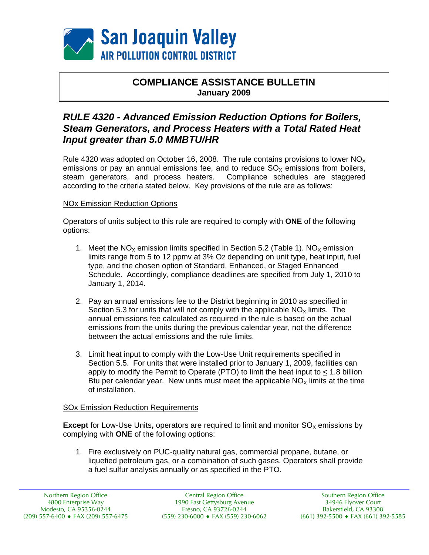

## **COMPLIANCE ASSISTANCE BULLETIN January 2009**

# *RULE 4320 - Advanced Emission Reduction Options for Boilers, Steam Generators, and Process Heaters with a Total Rated Heat Input greater than 5.0 MMBTU/HR*

Rule 4320 was adopted on October 16, 2008. The rule contains provisions to lower  $NO<sub>x</sub>$ emissions or pay an annual emissions fee, and to reduce  $SO_\chi$  emissions from boilers, steam generators, and process heaters. Compliance schedules are staggered steam generators, and process heaters. according to the criteria stated below. Key provisions of the rule are as follows:

#### NOx Emission Reduction Options

Operators of units subject to this rule are required to comply with **ONE** of the following options:

- 1. Meet the  $NO_x$  emission limits specified in Section 5.2 (Table 1).  $NO_x$  emission limits range from 5 to 12 ppmv at 3% O2 depending on unit type, heat input, fuel type, and the chosen option of Standard, Enhanced, or Staged Enhanced Schedule. Accordingly, compliance deadlines are specified from July 1, 2010 to January 1, 2014.
- 2. Pay an annual emissions fee to the District beginning in 2010 as specified in Section 5.3 for units that will not comply with the applicable  $NO<sub>x</sub>$  limits. The annual emissions fee calculated as required in the rule is based on the actual emissions from the units during the previous calendar year, not the difference between the actual emissions and the rule limits.
- 3. Limit heat input to comply with the Low-Use Unit requirements specified in Section 5.5. For units that were installed prior to January 1, 2009, facilities can apply to modify the Permit to Operate (PTO) to limit the heat input to < 1.8 billion Btu per calendar year. New units must meet the applicable  $NO<sub>x</sub>$  limits at the time of installation.

#### SOx Emission Reduction Requirements

**Except** for Low-Use Units, operators are required to limit and monitor SO<sub>x</sub> emissions by complying with **ONE** of the following options:

1. Fire exclusively on PUC-quality natural gas, commercial propane, butane, or liquefied petroleum gas, or a combination of such gases. Operators shall provide a fuel sulfur analysis annually or as specified in the PTO.